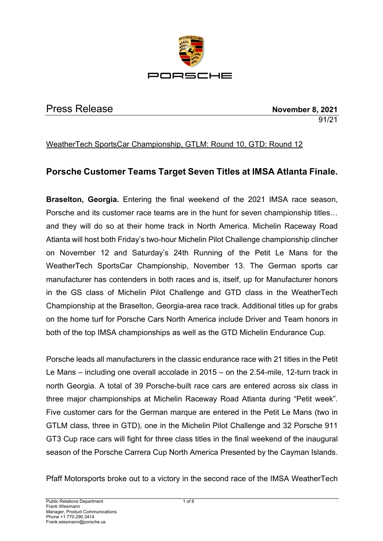

# Press Release **November 8, 2021**

# 91/21

# WeatherTech SportsCar Championship, GTLM: Round 10, GTD: Round 12

# **Porsche Customer Teams Target Seven Titles at IMSA Atlanta Finale.**

**Braselton, Georgia.** Entering the final weekend of the 2021 IMSA race season, Porsche and its customer race teams are in the hunt for seven championship titles… and they will do so at their home track in North America. Michelin Raceway Road Atlanta will host both Friday's two-hour Michelin Pilot Challenge championship clincher on November 12 and Saturday's 24th Running of the Petit Le Mans for the WeatherTech SportsCar Championship, November 13. The German sports car manufacturer has contenders in both races and is, itself, up for Manufacturer honors in the GS class of Michelin Pilot Challenge and GTD class in the WeatherTech Championship at the Braselton, Georgia-area race track. Additional titles up for grabs on the home turf for Porsche Cars North America include Driver and Team honors in both of the top IMSA championships as well as the GTD Michelin Endurance Cup.

Porsche leads all manufacturers in the classic endurance race with 21 titles in the Petit Le Mans – including one overall accolade in 2015 – on the 2.54-mile, 12-turn track in north Georgia. A total of 39 Porsche-built race cars are entered across six class in three major championships at Michelin Raceway Road Atlanta during "Petit week". Five customer cars for the German marque are entered in the Petit Le Mans (two in GTLM class, three in GTD), one in the Michelin Pilot Challenge and 32 Porsche 911 GT3 Cup race cars will fight for three class titles in the final weekend of the inaugural season of the Porsche Carrera Cup North America Presented by the Cayman Islands.

Pfaff Motorsports broke out to a victory in the second race of the IMSA WeatherTech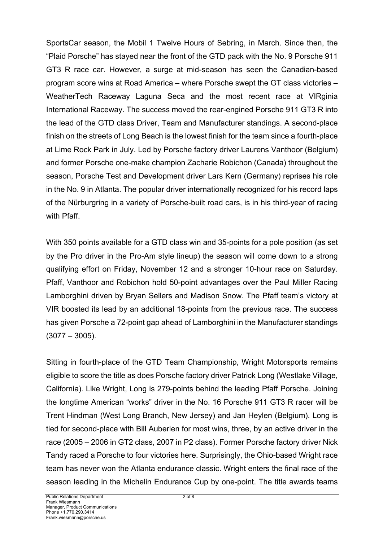SportsCar season, the Mobil 1 Twelve Hours of Sebring, in March. Since then, the "Plaid Porsche" has stayed near the front of the GTD pack with the No. 9 Porsche 911 GT3 R race car. However, a surge at mid-season has seen the Canadian-based program score wins at Road America – where Porsche swept the GT class victories – WeatherTech Raceway Laguna Seca and the most recent race at VIRginia International Raceway. The success moved the rear-engined Porsche 911 GT3 R into the lead of the GTD class Driver, Team and Manufacturer standings. A second-place finish on the streets of Long Beach is the lowest finish for the team since a fourth-place at Lime Rock Park in July. Led by Porsche factory driver Laurens Vanthoor (Belgium) and former Porsche one-make champion Zacharie Robichon (Canada) throughout the season, Porsche Test and Development driver Lars Kern (Germany) reprises his role in the No. 9 in Atlanta. The popular driver internationally recognized for his record laps of the Nürburgring in a variety of Porsche-built road cars, is in his third-year of racing with Pfaff.

With 350 points available for a GTD class win and 35-points for a pole position (as set by the Pro driver in the Pro-Am style lineup) the season will come down to a strong qualifying effort on Friday, November 12 and a stronger 10-hour race on Saturday. Pfaff, Vanthoor and Robichon hold 50-point advantages over the Paul Miller Racing Lamborghini driven by Bryan Sellers and Madison Snow. The Pfaff team's victory at VIR boosted its lead by an additional 18-points from the previous race. The success has given Porsche a 72-point gap ahead of Lamborghini in the Manufacturer standings  $(3077 - 3005)$ .

Sitting in fourth-place of the GTD Team Championship, Wright Motorsports remains eligible to score the title as does Porsche factory driver Patrick Long (Westlake Village, California). Like Wright, Long is 279-points behind the leading Pfaff Porsche. Joining the longtime American "works" driver in the No. 16 Porsche 911 GT3 R racer will be Trent Hindman (West Long Branch, New Jersey) and Jan Heylen (Belgium). Long is tied for second-place with Bill Auberlen for most wins, three, by an active driver in the race (2005 – 2006 in GT2 class, 2007 in P2 class). Former Porsche factory driver Nick Tandy raced a Porsche to four victories here. Surprisingly, the Ohio-based Wright race team has never won the Atlanta endurance classic. Wright enters the final race of the season leading in the Michelin Endurance Cup by one-point. The title awards teams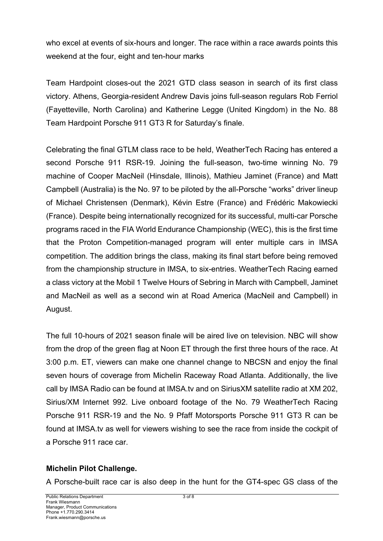who excel at events of six-hours and longer. The race within a race awards points this weekend at the four, eight and ten-hour marks

Team Hardpoint closes-out the 2021 GTD class season in search of its first class victory. Athens, Georgia-resident Andrew Davis joins full-season regulars Rob Ferriol (Fayetteville, North Carolina) and Katherine Legge (United Kingdom) in the No. 88 Team Hardpoint Porsche 911 GT3 R for Saturday's finale.

Celebrating the final GTLM class race to be held, WeatherTech Racing has entered a second Porsche 911 RSR-19. Joining the full-season, two-time winning No. 79 machine of Cooper MacNeil (Hinsdale, Illinois), Mathieu Jaminet (France) and Matt Campbell (Australia) is the No. 97 to be piloted by the all-Porsche "works" driver lineup of Michael Christensen (Denmark), Kévin Estre (France) and Frédéric Makowiecki (France). Despite being internationally recognized for its successful, multi-car Porsche programs raced in the FIA World Endurance Championship (WEC), this is the first time that the Proton Competition-managed program will enter multiple cars in IMSA competition. The addition brings the class, making its final start before being removed from the championship structure in IMSA, to six-entries. WeatherTech Racing earned a class victory at the Mobil 1 Twelve Hours of Sebring in March with Campbell, Jaminet and MacNeil as well as a second win at Road America (MacNeil and Campbell) in August.

The full 10-hours of 2021 season finale will be aired live on television. NBC will show from the drop of the green flag at Noon ET through the first three hours of the race. At 3:00 p.m. ET, viewers can make one channel change to NBCSN and enjoy the final seven hours of coverage from Michelin Raceway Road Atlanta. Additionally, the live call by IMSA Radio can be found at IMSA.tv and on SiriusXM satellite radio at XM 202, Sirius/XM Internet 992. Live onboard footage of the No. 79 WeatherTech Racing Porsche 911 RSR-19 and the No. 9 Pfaff Motorsports Porsche 911 GT3 R can be found at IMSA.tv as well for viewers wishing to see the race from inside the cockpit of a Porsche 911 race car.

#### **Michelin Pilot Challenge.**

A Porsche-built race car is also deep in the hunt for the GT4-spec GS class of the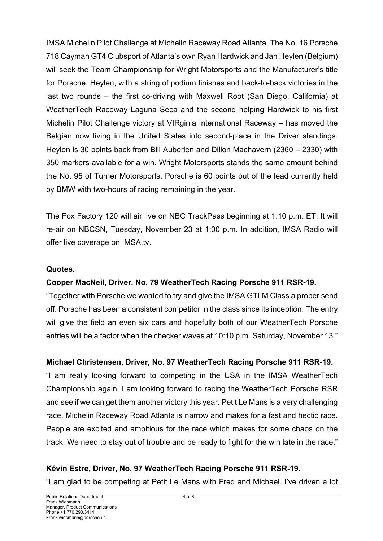IMSA Michelin Pilot Challenge at Michelin Raceway Road Atlanta. The No. 16 Porsche 718 Cayman GT4 Clubsport of Atlanta's own Ryan Hardwick and Jan Heylen (Belgium) will seek the Team Championship for Wright Motorsports and the Manufacturer's title for Porsche. Heylen, with a string of podium finishes and back-to-back victories in the last two rounds – the first co-driving with Maxwell Root (San Diego, California) at WeatherTech Raceway Laguna Seca and the second helping Hardwick to his first Michelin Pilot Challenge victory at VIRginia International Raceway – has moved the Belgian now living in the United States into second-place in the Driver standings. Heylen is 30 points back from Bill Auberlen and Dillon Machavern (2360 – 2330) with 350 markers available for a win. Wright Motorsports stands the same amount behind the No. 95 of Turner Motorsports. Porsche is 60 points out of the lead currently held by BMW with two-hours of racing remaining in the year.

The Fox Factory 120 will air live on NBC TrackPass beginning at 1:10 p.m. ET. It will re-air on NBCSN, Tuesday, November 23 at 1:00 p.m. In addition, IMSA Radio will offer live coverage on IMSA.tv.

#### **Quotes.**

## **Cooper MacNeil, Driver, No. 79 WeatherTech Racing Porsche 911 RSR-19.**

"Together with Porsche we wanted to try and give the IMSA GTLM Class a proper send off. Porsche has been a consistent competitor in the class since its inception. The entry will give the field an even six cars and hopefully both of our WeatherTech Porsche entries will be a factor when the checker waves at 10:10 p.m. Saturday, November 13."

## **Michael Christensen, Driver, No. 97 WeatherTech Racing Porsche 911 RSR-19.**

"I am really looking forward to competing in the USA in the IMSA WeatherTech Championship again. I am looking forward to racing the WeatherTech Porsche RSR and see if we can get them another victory this year. Petit Le Mans is a very challenging race. Michelin Raceway Road Atlanta is narrow and makes for a fast and hectic race. People are excited and ambitious for the race which makes for some chaos on the track. We need to stay out of trouble and be ready to fight for the win late in the race."

## **Kévin Estre, Driver, No. 97 WeatherTech Racing Porsche 911 RSR-19.**

"I am glad to be competing at Petit Le Mans with Fred and Michael. I've driven a lot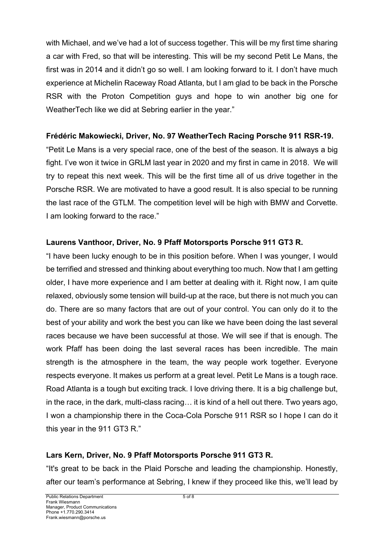with Michael, and we've had a lot of success together. This will be my first time sharing a car with Fred, so that will be interesting. This will be my second Petit Le Mans, the first was in 2014 and it didn't go so well. I am looking forward to it. I don't have much experience at Michelin Raceway Road Atlanta, but I am glad to be back in the Porsche RSR with the Proton Competition guys and hope to win another big one for WeatherTech like we did at Sebring earlier in the year."

#### **Frédéric Makowiecki, Driver, No. 97 WeatherTech Racing Porsche 911 RSR-19.**

"Petit Le Mans is a very special race, one of the best of the season. It is always a big fight. I've won it twice in GRLM last year in 2020 and my first in came in 2018. We will try to repeat this next week. This will be the first time all of us drive together in the Porsche RSR. We are motivated to have a good result. It is also special to be running the last race of the GTLM. The competition level will be high with BMW and Corvette. I am looking forward to the race."

## **Laurens Vanthoor, Driver, No. 9 Pfaff Motorsports Porsche 911 GT3 R.**

"I have been lucky enough to be in this position before. When I was younger, I would be terrified and stressed and thinking about everything too much. Now that I am getting older, I have more experience and I am better at dealing with it. Right now, I am quite relaxed, obviously some tension will build-up at the race, but there is not much you can do. There are so many factors that are out of your control. You can only do it to the best of your ability and work the best you can like we have been doing the last several races because we have been successful at those. We will see if that is enough. The work Pfaff has been doing the last several races has been incredible. The main strength is the atmosphere in the team, the way people work together. Everyone respects everyone. It makes us perform at a great level. Petit Le Mans is a tough race. Road Atlanta is a tough but exciting track. I love driving there. It is a big challenge but, in the race, in the dark, multi-class racing… it is kind of a hell out there. Two years ago, I won a championship there in the Coca-Cola Porsche 911 RSR so I hope I can do it this year in the 911 GT3 R."

#### **Lars Kern, Driver, No. 9 Pfaff Motorsports Porsche 911 GT3 R.**

"It's great to be back in the Plaid Porsche and leading the championship. Honestly, after our team's performance at Sebring, I knew if they proceed like this, we'll lead by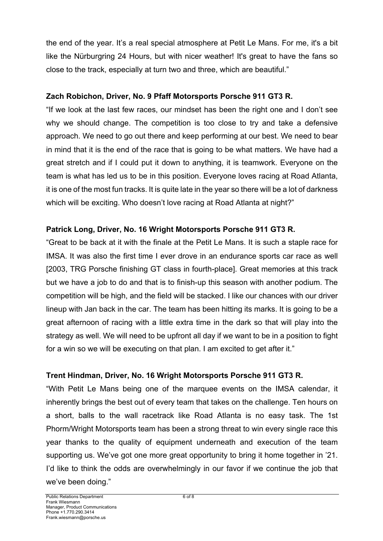the end of the year. It's a real special atmosphere at Petit Le Mans. For me, it's a bit like the Nürburgring 24 Hours, but with nicer weather! It's great to have the fans so close to the track, especially at turn two and three, which are beautiful."

#### **Zach Robichon, Driver, No. 9 Pfaff Motorsports Porsche 911 GT3 R.**

"If we look at the last few races, our mindset has been the right one and I don't see why we should change. The competition is too close to try and take a defensive approach. We need to go out there and keep performing at our best. We need to bear in mind that it is the end of the race that is going to be what matters. We have had a great stretch and if I could put it down to anything, it is teamwork. Everyone on the team is what has led us to be in this position. Everyone loves racing at Road Atlanta, it is one of the most fun tracks. It is quite late in the year so there will be a lot of darkness which will be exciting. Who doesn't love racing at Road Atlanta at night?"

#### **Patrick Long, Driver, No. 16 Wright Motorsports Porsche 911 GT3 R.**

"Great to be back at it with the finale at the Petit Le Mans. It is such a staple race for IMSA. It was also the first time I ever drove in an endurance sports car race as well [2003, TRG Porsche finishing GT class in fourth-place]. Great memories at this track but we have a job to do and that is to finish-up this season with another podium. The competition will be high, and the field will be stacked. I like our chances with our driver lineup with Jan back in the car. The team has been hitting its marks. It is going to be a great afternoon of racing with a little extra time in the dark so that will play into the strategy as well. We will need to be upfront all day if we want to be in a position to fight for a win so we will be executing on that plan. I am excited to get after it."

## **Trent Hindman, Driver, No. 16 Wright Motorsports Porsche 911 GT3 R.**

"With Petit Le Mans being one of the marquee events on the IMSA calendar, it inherently brings the best out of every team that takes on the challenge. Ten hours on a short, balls to the wall racetrack like Road Atlanta is no easy task. The 1st Phorm/Wright Motorsports team has been a strong threat to win every single race this year thanks to the quality of equipment underneath and execution of the team supporting us. We've got one more great opportunity to bring it home together in '21. I'd like to think the odds are overwhelmingly in our favor if we continue the job that we've been doing."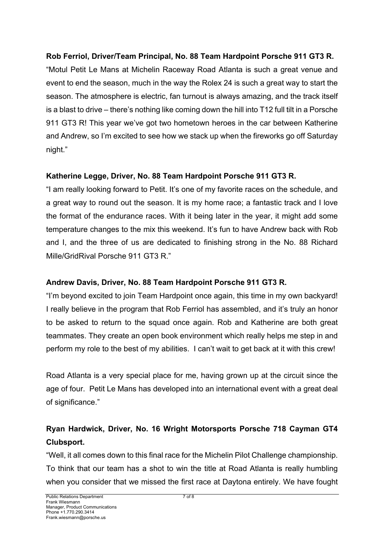# **Rob Ferriol, Driver/Team Principal, No. 88 Team Hardpoint Porsche 911 GT3 R.**

"Motul Petit Le Mans at Michelin Raceway Road Atlanta is such a great venue and event to end the season, much in the way the Rolex 24 is such a great way to start the season. The atmosphere is electric, fan turnout is always amazing, and the track itself is a blast to drive – there's nothing like coming down the hill into T12 full tilt in a Porsche 911 GT3 R! This year we've got two hometown heroes in the car between Katherine and Andrew, so I'm excited to see how we stack up when the fireworks go off Saturday night."

# **Katherine Legge, Driver, No. 88 Team Hardpoint Porsche 911 GT3 R.**

"I am really looking forward to Petit. It's one of my favorite races on the schedule, and a great way to round out the season. It is my home race; a fantastic track and I love the format of the endurance races. With it being later in the year, it might add some temperature changes to the mix this weekend. It's fun to have Andrew back with Rob and I, and the three of us are dedicated to finishing strong in the No. 88 Richard Mille/GridRival Porsche 911 GT3 R."

## **Andrew Davis, Driver, No. 88 Team Hardpoint Porsche 911 GT3 R.**

"I'm beyond excited to join Team Hardpoint once again, this time in my own backyard! I really believe in the program that Rob Ferriol has assembled, and it's truly an honor to be asked to return to the squad once again. Rob and Katherine are both great teammates. They create an open book environment which really helps me step in and perform my role to the best of my abilities. I can't wait to get back at it with this crew!

Road Atlanta is a very special place for me, having grown up at the circuit since the age of four. Petit Le Mans has developed into an international event with a great deal of significance."

# **Ryan Hardwick, Driver, No. 16 Wright Motorsports Porsche 718 Cayman GT4 Clubsport.**

"Well, it all comes down to this final race for the Michelin Pilot Challenge championship. To think that our team has a shot to win the title at Road Atlanta is really humbling when you consider that we missed the first race at Daytona entirely. We have fought